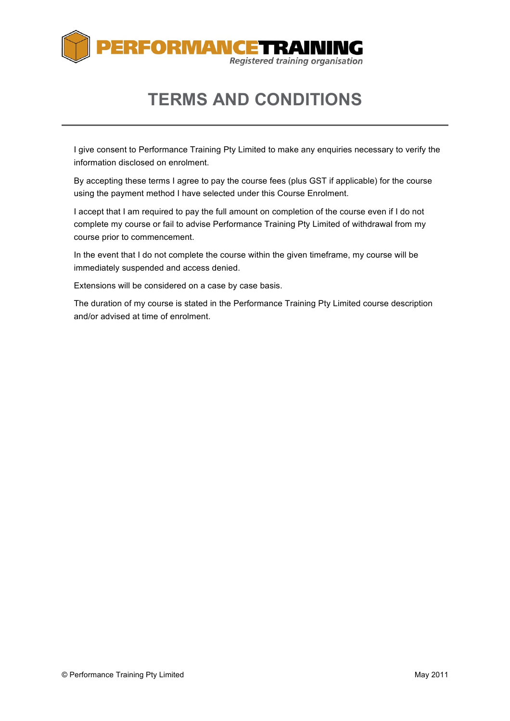

# **TERMS AND CONDITIONS**

I give consent to Performance Training Pty Limited to make any enquiries necessary to verify the information disclosed on enrolment.

By accepting these terms I agree to pay the course fees (plus GST if applicable) for the course using the payment method I have selected under this Course Enrolment.

I accept that I am required to pay the full amount on completion of the course even if I do not complete my course or fail to advise Performance Training Pty Limited of withdrawal from my course prior to commencement.

In the event that I do not complete the course within the given timeframe, my course will be immediately suspended and access denied.

Extensions will be considered on a case by case basis.

The duration of my course is stated in the Performance Training Pty Limited course description and/or advised at time of enrolment.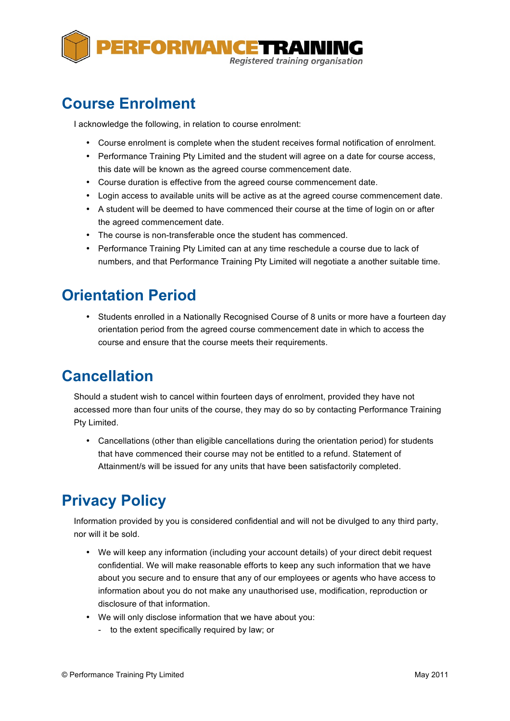

### **Course Enrolment**

I acknowledge the following, in relation to course enrolment:

- Course enrolment is complete when the student receives formal notification of enrolment.
- Performance Training Pty Limited and the student will agree on a date for course access, this date will be known as the agreed course commencement date.
- Course duration is effective from the agreed course commencement date.
- Login access to available units will be active as at the agreed course commencement date.
- A student will be deemed to have commenced their course at the time of login on or after the agreed commencement date.
- The course is non-transferable once the student has commenced.
- Performance Training Pty Limited can at any time reschedule a course due to lack of numbers, and that Performance Training Pty Limited will negotiate a another suitable time.

### **Orientation Period**

• Students enrolled in a Nationally Recognised Course of 8 units or more have a fourteen day orientation period from the agreed course commencement date in which to access the course and ensure that the course meets their requirements.

# **Cancellation**

Should a student wish to cancel within fourteen days of enrolment, provided they have not accessed more than four units of the course, they may do so by contacting Performance Training Pty Limited.

• Cancellations (other than eligible cancellations during the orientation period) for students that have commenced their course may not be entitled to a refund. Statement of Attainment/s will be issued for any units that have been satisfactorily completed.

# **Privacy Policy**

Information provided by you is considered confidential and will not be divulged to any third party, nor will it be sold.

- We will keep any information (including your account details) of your direct debit request confidential. We will make reasonable efforts to keep any such information that we have about you secure and to ensure that any of our employees or agents who have access to information about you do not make any unauthorised use, modification, reproduction or disclosure of that information.
- We will only disclose information that we have about you:
	- to the extent specifically required by law; or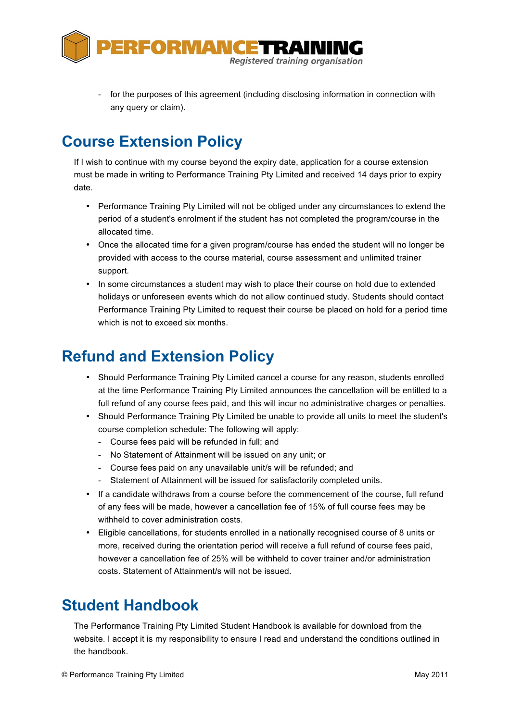

for the purposes of this agreement (including disclosing information in connection with any query or claim).

### **Course Extension Policy**

If I wish to continue with my course beyond the expiry date, application for a course extension must be made in writing to Performance Training Pty Limited and received 14 days prior to expiry date.

- Performance Training Pty Limited will not be obliged under any circumstances to extend the period of a student's enrolment if the student has not completed the program/course in the allocated time.
- Once the allocated time for a given program/course has ended the student will no longer be provided with access to the course material, course assessment and unlimited trainer support.
- In some circumstances a student may wish to place their course on hold due to extended holidays or unforeseen events which do not allow continued study. Students should contact Performance Training Pty Limited to request their course be placed on hold for a period time which is not to exceed six months.

### **Refund and Extension Policy**

- Should Performance Training Pty Limited cancel a course for any reason, students enrolled at the time Performance Training Pty Limited announces the cancellation will be entitled to a full refund of any course fees paid, and this will incur no administrative charges or penalties.
- Should Performance Training Pty Limited be unable to provide all units to meet the student's course completion schedule: The following will apply:
	- Course fees paid will be refunded in full; and
	- No Statement of Attainment will be issued on any unit; or
	- Course fees paid on any unavailable unit/s will be refunded; and
	- Statement of Attainment will be issued for satisfactorily completed units.
- If a candidate withdraws from a course before the commencement of the course, full refund of any fees will be made, however a cancellation fee of 15% of full course fees may be withheld to cover administration costs.
- Eligible cancellations, for students enrolled in a nationally recognised course of 8 units or more, received during the orientation period will receive a full refund of course fees paid, however a cancellation fee of 25% will be withheld to cover trainer and/or administration costs. Statement of Attainment/s will not be issued.

# **Student Handbook**

The Performance Training Pty Limited Student Handbook is available for download from the website. I accept it is my responsibility to ensure I read and understand the conditions outlined in the handbook.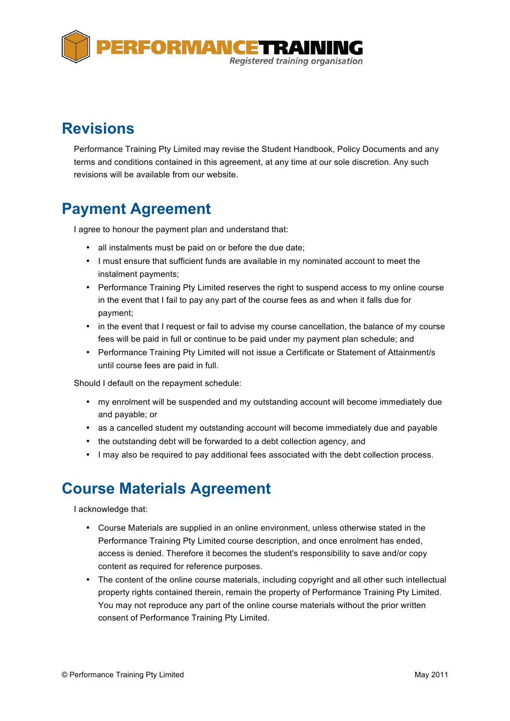

### **Revisions**

Performance Training Pty Limited may revise the Student Handbook, Policy Documents and any terms and conditions contained in this agreement, at any time at our sole discretion. Any such revisions will be available from our website.

# **Payment Agreement**

I agree to honour the payment plan and understand that:

- all instalments must be paid on or before the due date;
- I must ensure that sufficient funds are available in my nominated account to meet the instalment payments;
- Performance Training Pty Limited reserves the right to suspend access to my online course in the event that I fail to pay any part of the course fees as and when it falls due for payment;
- in the event that I request or fail to advise my course cancellation, the balance of my course fees will be paid in full or continue to be paid under my payment plan schedule; and
- Performance Training Pty Limited will not issue a Certificate or Statement of Attainment/s until course fees are paid in full.

Should I default on the repayment schedule:

- my enrolment will be suspended and my outstanding account will become immediately due and payable; or
- as a cancelled student my outstanding account will become immediately due and payable
- the outstanding debt will be forwarded to a debt collection agency, and
- I may also be required to pay additional fees associated with the debt collection process.

#### **Course Materials Agreement**

I acknowledge that:

- Course Materials are supplied in an online environment, unless otherwise stated in the Performance Training Pty Limited course description, and once enrolment has ended, access is denied. Therefore it becomes the student's responsibility to save and/or copy content as required for reference purposes.
- The content of the online course materials, including copyright and all other such intellectual property rights contained therein, remain the property of Performance Training Pty Limited. You may not reproduce any part of the online course materials without the prior written consent of Performance Training Pty Limited.